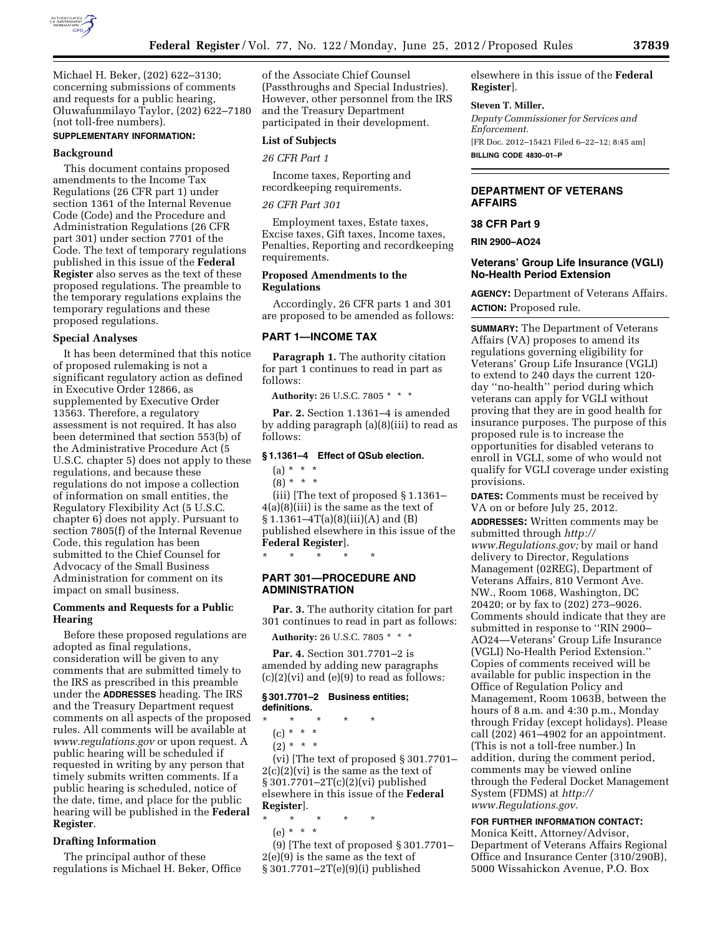

Michael H. Beker, (202) 622–3130; concerning submissions of comments and requests for a public hearing, Oluwafunmilayo Taylor, (202) 622–7180 (not toll-free numbers).

# **SUPPLEMENTARY INFORMATION:**

## **Background**

This document contains proposed amendments to the Income Tax Regulations (26 CFR part 1) under section 1361 of the Internal Revenue Code (Code) and the Procedure and Administration Regulations (26 CFR part 301) under section 7701 of the Code. The text of temporary regulations published in this issue of the **Federal Register** also serves as the text of these proposed regulations. The preamble to the temporary regulations explains the temporary regulations and these proposed regulations.

#### **Special Analyses**

It has been determined that this notice of proposed rulemaking is not a significant regulatory action as defined in Executive Order 12866, as supplemented by Executive Order 13563. Therefore, a regulatory assessment is not required. It has also been determined that section 553(b) of the Administrative Procedure Act (5 U.S.C. chapter 5) does not apply to these regulations, and because these regulations do not impose a collection of information on small entities, the Regulatory Flexibility Act (5 U.S.C. chapter 6) does not apply. Pursuant to section 7805(f) of the Internal Revenue Code, this regulation has been submitted to the Chief Counsel for Advocacy of the Small Business Administration for comment on its impact on small business.

## **Comments and Requests for a Public Hearing**

Before these proposed regulations are adopted as final regulations, consideration will be given to any comments that are submitted timely to the IRS as prescribed in this preamble under the **ADDRESSES** heading. The IRS and the Treasury Department request comments on all aspects of the proposed rules. All comments will be available at *[www.regulations.gov](http://www.regulations.gov)* or upon request. A public hearing will be scheduled if requested in writing by any person that timely submits written comments. If a public hearing is scheduled, notice of the date, time, and place for the public hearing will be published in the **Federal Register**.

## **Drafting Information**

The principal author of these regulations is Michael H. Beker, Office

of the Associate Chief Counsel (Passthroughs and Special Industries). However, other personnel from the IRS and the Treasury Department participated in their development.

## **List of Subjects**

*26 CFR Part 1* 

Income taxes, Reporting and recordkeeping requirements.

#### *26 CFR Part 301*

Employment taxes, Estate taxes, Excise taxes, Gift taxes, Income taxes, Penalties, Reporting and recordkeeping requirements.

#### **Proposed Amendments to the Regulations**

Accordingly, 26 CFR parts 1 and 301 are proposed to be amended as follows:

## **PART 1—INCOME TAX**

**Paragraph 1.** The authority citation for part 1 continues to read in part as follows:

**Authority:** 26 U.S.C. 7805 \* \* \*

**Par. 2.** Section 1.1361–4 is amended by adding paragraph (a)(8)(iii) to read as follows:

# **§ 1.1361–4 Effect of QSub election.**

# $(a) * * * *$

 $(8) * * * *$ 

(iii) [The text of proposed § 1.1361– 4(a)(8)(iii) is the same as the text of § 1.1361–4T(a)(8)(iii)(A) and (B) published elsewhere in this issue of the **Federal Register**].

## **PART 301—PROCEDURE AND ADMINISTRATION**

\* \* \* \* \*

**Par. 3.** The authority citation for part 301 continues to read in part as follows:

**Authority:** 26 U.S.C. 7805 \* \* \*

**Par. 4.** Section 301.7701–2 is amended by adding new paragraphs  $(c)(2)(vi)$  and  $(e)(9)$  to read as follows:

#### **§ 301.7701–2 Business entities; definitions.**

- \* \* \* \* \*
	- (c) \* \* \*
	- $(2) * * * *$

(vi) [The text of proposed § 301.7701–  $2(c)(2)(vi)$  is the same as the text of § 301.7701–2T(c)(2)(vi) published elsewhere in this issue of the **Federal Register**].

\* \* \* \* \*

(e) \* \* \*

(9) [The text of proposed § 301.7701– 2(e)(9) is the same as the text of § 301.7701–2T(e)(9)(i) published

elsewhere in this issue of the **Federal Register**].

#### **Steven T. Miller,**

*Deputy Commissioner for Services and Enforcement.*  [FR Doc. 2012–15421 Filed 6–22–12; 8:45 am] **BILLING CODE 4830–01–P** 

## **DEPARTMENT OF VETERANS AFFAIRS**

#### **38 CFR Part 9**

**RIN 2900–AO24** 

## **Veterans' Group Life Insurance (VGLI) No-Health Period Extension**

**AGENCY:** Department of Veterans Affairs. **ACTION:** Proposed rule.

**SUMMARY:** The Department of Veterans Affairs (VA) proposes to amend its regulations governing eligibility for Veterans' Group Life Insurance (VGLI) to extend to 240 days the current 120 day ''no-health'' period during which veterans can apply for VGLI without proving that they are in good health for insurance purposes. The purpose of this proposed rule is to increase the opportunities for disabled veterans to enroll in VGLI, some of who would not qualify for VGLI coverage under existing provisions.

**DATES:** Comments must be received by VA on or before July 25, 2012.

**ADDRESSES:** Written comments may be submitted through *[http://](http://www.Regulations.gov) [www.Regulations.gov;](http://www.Regulations.gov)* by mail or hand delivery to Director, Regulations Management (02REG), Department of Veterans Affairs, 810 Vermont Ave. NW., Room 1068, Washington, DC 20420; or by fax to (202) 273–9026. Comments should indicate that they are submitted in response to ''RIN 2900– AO24—Veterans' Group Life Insurance (VGLI) No-Health Period Extension.'' Copies of comments received will be available for public inspection in the Office of Regulation Policy and Management, Room 1063B, between the hours of 8 a.m. and 4:30 p.m., Monday through Friday (except holidays). Please call (202) 461–4902 for an appointment. (This is not a toll-free number.) In addition, during the comment period, comments may be viewed online through the Federal Docket Management System (FDMS) at *[http://](http://www.Regulations.gov) [www.Regulations.gov.](http://www.Regulations.gov)* 

## **FOR FURTHER INFORMATION CONTACT:**

Monica Keitt, Attorney/Advisor, Department of Veterans Affairs Regional Office and Insurance Center (310/290B), 5000 Wissahickon Avenue, P.O. Box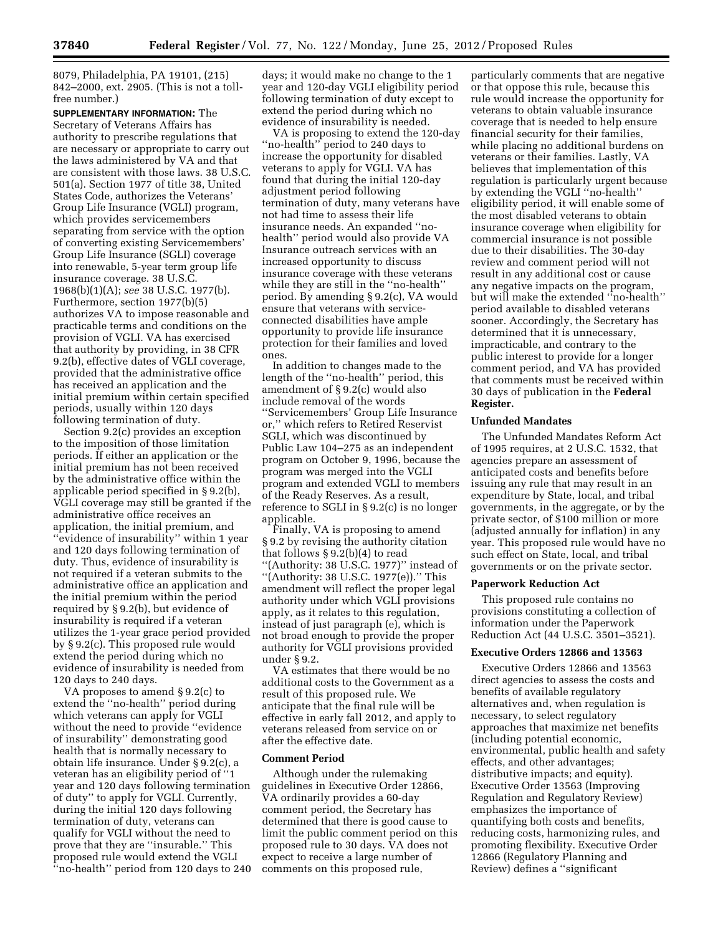8079, Philadelphia, PA 19101, (215) 842–2000, ext. 2905. (This is not a tollfree number.)

**SUPPLEMENTARY INFORMATION:** The Secretary of Veterans Affairs has authority to prescribe regulations that are necessary or appropriate to carry out the laws administered by VA and that are consistent with those laws. 38 U.S.C. 501(a). Section 1977 of title 38, United States Code, authorizes the Veterans' Group Life Insurance (VGLI) program, which provides servicemembers separating from service with the option of converting existing Servicemembers' Group Life Insurance (SGLI) coverage into renewable, 5-year term group life insurance coverage. 38 U.S.C. 1968(b)(1)(A); *see* 38 U.S.C. 1977(b). Furthermore, section 1977(b)(5) authorizes VA to impose reasonable and practicable terms and conditions on the provision of VGLI. VA has exercised that authority by providing, in 38 CFR 9.2(b), effective dates of VGLI coverage, provided that the administrative office has received an application and the initial premium within certain specified periods, usually within 120 days following termination of duty.

Section 9.2(c) provides an exception to the imposition of those limitation periods. If either an application or the initial premium has not been received by the administrative office within the applicable period specified in § 9.2(b), VGLI coverage may still be granted if the administrative office receives an application, the initial premium, and ''evidence of insurability'' within 1 year and 120 days following termination of duty. Thus, evidence of insurability is not required if a veteran submits to the administrative office an application and the initial premium within the period required by § 9.2(b), but evidence of insurability is required if a veteran utilizes the 1-year grace period provided by § 9.2(c). This proposed rule would extend the period during which no evidence of insurability is needed from 120 days to 240 days.

VA proposes to amend § 9.2(c) to extend the ''no-health'' period during which veterans can apply for VGLI without the need to provide ''evidence of insurability'' demonstrating good health that is normally necessary to obtain life insurance. Under § 9.2(c), a veteran has an eligibility period of ''1 year and 120 days following termination of duty'' to apply for VGLI. Currently, during the initial 120 days following termination of duty, veterans can qualify for VGLI without the need to prove that they are ''insurable.'' This proposed rule would extend the VGLI ''no-health'' period from 120 days to 240 days; it would make no change to the 1 year and 120-day VGLI eligibility period following termination of duty except to extend the period during which no evidence of insurability is needed.

VA is proposing to extend the 120-day ''no-health'' period to 240 days to increase the opportunity for disabled veterans to apply for VGLI. VA has found that during the initial 120-day adjustment period following termination of duty, many veterans have not had time to assess their life insurance needs. An expanded ''nohealth'' period would also provide VA Insurance outreach services with an increased opportunity to discuss insurance coverage with these veterans while they are still in the "no-health" period. By amending § 9.2(c), VA would ensure that veterans with serviceconnected disabilities have ample opportunity to provide life insurance protection for their families and loved ones.

In addition to changes made to the length of the ''no-health'' period, this amendment of § 9.2(c) would also include removal of the words ''Servicemembers' Group Life Insurance or,'' which refers to Retired Reservist SGLI, which was discontinued by Public Law 104–275 as an independent program on October 9, 1996, because the program was merged into the VGLI program and extended VGLI to members of the Ready Reserves. As a result, reference to SGLI in § 9.2(c) is no longer applicable.

Finally, VA is proposing to amend § 9.2 by revising the authority citation that follows § 9.2(b)(4) to read "(Authority: 38 U.S.C. 1977)" instead of ''(Authority: 38 U.S.C. 1977(e)).'' This amendment will reflect the proper legal authority under which VGLI provisions apply, as it relates to this regulation, instead of just paragraph (e), which is not broad enough to provide the proper authority for VGLI provisions provided under § 9.2.

VA estimates that there would be no additional costs to the Government as a result of this proposed rule. We anticipate that the final rule will be effective in early fall 2012, and apply to veterans released from service on or after the effective date.

#### **Comment Period**

Although under the rulemaking guidelines in Executive Order 12866, VA ordinarily provides a 60-day comment period, the Secretary has determined that there is good cause to limit the public comment period on this proposed rule to 30 days. VA does not expect to receive a large number of comments on this proposed rule,

particularly comments that are negative or that oppose this rule, because this rule would increase the opportunity for veterans to obtain valuable insurance coverage that is needed to help ensure financial security for their families, while placing no additional burdens on veterans or their families. Lastly, VA believes that implementation of this regulation is particularly urgent because by extending the VGLI ''no-health'' eligibility period, it will enable some of the most disabled veterans to obtain insurance coverage when eligibility for commercial insurance is not possible due to their disabilities. The 30-day review and comment period will not result in any additional cost or cause any negative impacts on the program, but will make the extended ''no-health'' period available to disabled veterans sooner. Accordingly, the Secretary has determined that it is unnecessary, impracticable, and contrary to the public interest to provide for a longer comment period, and VA has provided that comments must be received within 30 days of publication in the **Federal Register.** 

#### **Unfunded Mandates**

The Unfunded Mandates Reform Act of 1995 requires, at 2 U.S.C. 1532, that agencies prepare an assessment of anticipated costs and benefits before issuing any rule that may result in an expenditure by State, local, and tribal governments, in the aggregate, or by the private sector, of \$100 million or more (adjusted annually for inflation) in any year. This proposed rule would have no such effect on State, local, and tribal governments or on the private sector.

#### **Paperwork Reduction Act**

This proposed rule contains no provisions constituting a collection of information under the Paperwork Reduction Act (44 U.S.C. 3501–3521).

#### **Executive Orders 12866 and 13563**

Executive Orders 12866 and 13563 direct agencies to assess the costs and benefits of available regulatory alternatives and, when regulation is necessary, to select regulatory approaches that maximize net benefits (including potential economic, environmental, public health and safety effects, and other advantages; distributive impacts; and equity). Executive Order 13563 (Improving Regulation and Regulatory Review) emphasizes the importance of quantifying both costs and benefits, reducing costs, harmonizing rules, and promoting flexibility. Executive Order 12866 (Regulatory Planning and Review) defines a ''significant